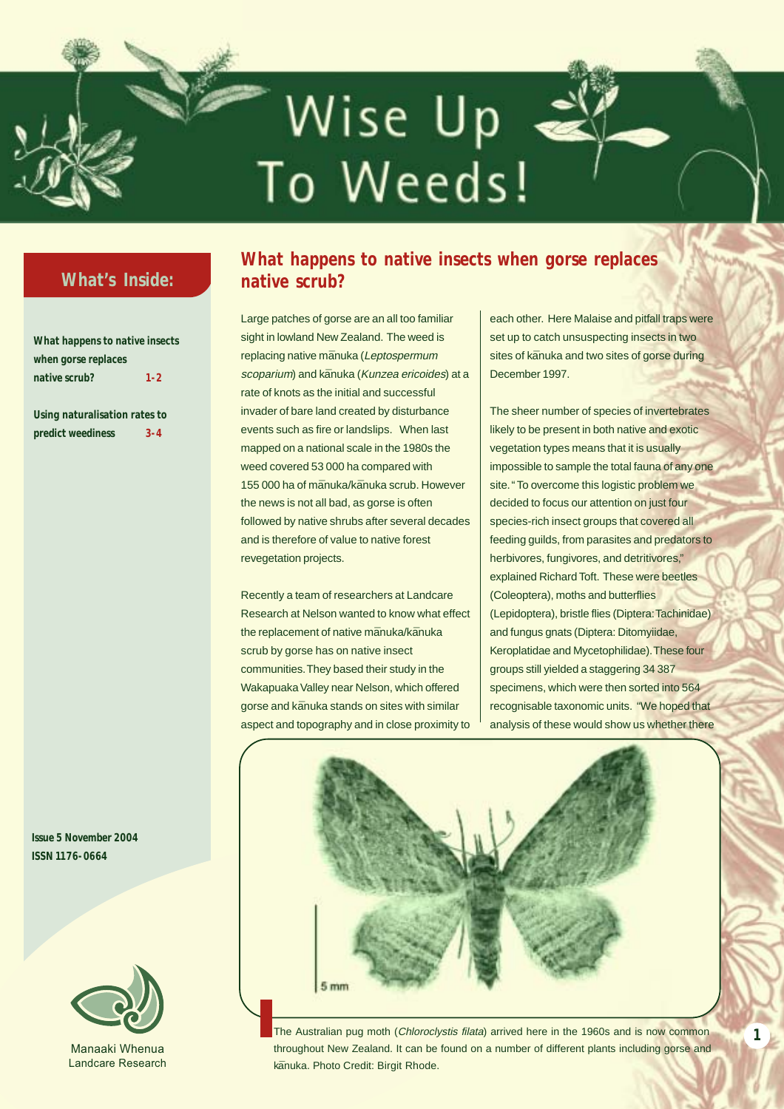# Wise Up To Weeds!

# **What's Inside:**

**What happens to native insects when gorse replaces native scrub? 1-2**

**Using naturalisation rates to predict weediness 3-4**

**Issue 5 November 2004 ISSN 1176-0664**



Manaaki Whenua Landcare Research

# **What happens to native insects when gorse replaces native scrub?**

Large patches of gorse are an all too familiar sight in lowland New Zealand. The weed is replacing native mānuka (Leptospermum scoparium) and kānuka (Kunzea ericoides) at a rate of knots as the initial and successful invader of bare land created by disturbance events such as fire or landslips. When last mapped on a national scale in the 1980s the weed covered 53 000 ha compared with 155 000 ha of mānuka/kānuka scrub. However the news is not all bad, as gorse is often followed by native shrubs after several decades and is therefore of value to native forest revegetation projects.

Recently a team of researchers at Landcare Research at Nelson wanted to know what effect the replacement of native mānuka/kānuka scrub by gorse has on native insect communities. They based their study in the Wakapuaka Valley near Nelson, which offered gorse and kānuka stands on sites with similar aspect and topography and in close proximity to

each other. Here Malaise and pitfall traps were set up to catch unsuspecting insects in two sites of kānuka and two sites of gorse during December 1997.

The sheer number of species of invertebrates likely to be present in both native and exotic vegetation types means that it is usually impossible to sample the total fauna of any one site. " To overcome this logistic problem we decided to focus our attention on just four species-rich insect groups that covered all feeding guilds, from parasites and predators to herbivores, fungivores, and detritivores," explained Richard Toft. These were beetles (Coleoptera), moths and butterflies (Lepidoptera), bristle flies (Diptera: Tachinidae) and fungus gnats (Diptera: Ditomyiidae, Keroplatidae and Mycetophilidae). These four groups still yielded a staggering 34 387 specimens, which were then sorted into 564 recognisable taxonomic units. "We hoped that analysis of these would show us whether there



The Australian pug moth (Chloroclystis filata) arrived here in the 1960s and is now common throughout New Zealand. It can be found on a number of different plants including gorse and kānuka. Photo Credit: Birgit Rhode.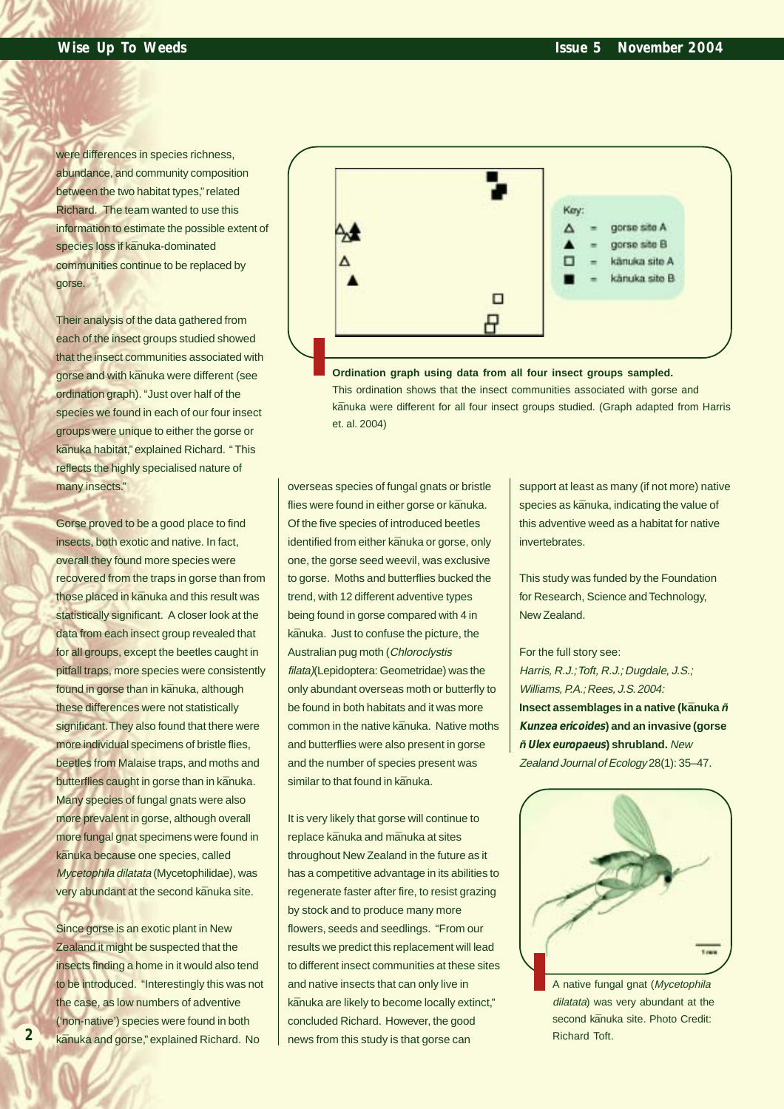were differences in species richness. abundance, and community composition between the two habitat types," related Richard. The team wanted to use this information to estimate the possible extent of species loss if kānuka-dominated communities continue to be replaced by gorse.

Their analysis of the data gathered from each of the insect groups studied showed that the insect communities associated with gorse and with kānuka were different (see ordination graph). "Just over half of the species we found in each of our four insect groups were unique to either the gorse or kānuka habitat," explained Richard. "This reflects the highly specialised nature of many insects."

Gorse proved to be a good place to find insects, both exotic and native. In fact, overall they found more species were recovered from the traps in gorse than from those placed in kānuka and this result was statistically significant. A closer look at the data from each insect group revealed that for all groups, except the beetles caught in pitfall traps, more species were consistently found in gorse than in kānuka, although these differences were not statistically significant. They also found that there were more individual specimens of bristle flies, beetles from Malaise traps, and moths and butterflies caught in gorse than in kānuka. Many species of fungal gnats were also more prevalent in gorse, although overall more fungal gnat specimens were found in kānuka because one species, called Mycetophila dilatata (Mycetophilidae), was very abundant at the second kānuka site.

Since gorse is an exotic plant in New Zealand it might be suspected that the insects finding a home in it would also tend to be introduced. "Interestingly this was not the case, as low numbers of adventive ('non-native') species were found in both kānuka and gorse," explained Richard. No

**2**



**Ordination graph using data from all four insect groups sampled.** This ordination shows that the insect communities associated with gorse and kānuka were different for all four insect groups studied. (Graph adapted from Harris et. al. 2004)

overseas species of fungal gnats or bristle flies were found in either gorse or kānuka. Of the five species of introduced beetles identified from either kānuka or gorse, only one, the gorse seed weevil, was exclusive to gorse. Moths and butterflies bucked the trend, with 12 different adventive types being found in gorse compared with 4 in kānuka. Just to confuse the picture, the Australian pug moth (Chloroclystis filata)(Lepidoptera: Geometridae) was the only abundant overseas moth or butterfly to be found in both habitats and it was more common in the native kānuka. Native moths and butterflies were also present in gorse and the number of species present was similar to that found in kānuka.

It is very likely that gorse will continue to replace kānuka and mānuka at sites throughout New Zealand in the future as it has a competitive advantage in its abilities to regenerate faster after fire, to resist grazing by stock and to produce many more flowers, seeds and seedlings. "From our results we predict this replacement will lead to different insect communities at these sites and native insects that can only live in kānuka are likely to become locally extinct." concluded Richard. However, the good news from this study is that gorse can

support at least as many (if not more) native species as kānuka, indicating the value of this adventive weed as a habitat for native invertebrates.

This study was funded by the Foundation for Research, Science and Technology, New Zealand.

For the full story see: Harris, R.J.; Toft, R.J.; Dugdale, J.S.; Williams, P.A.; Rees, J.S. 2004: **Insect assemblages in a native (kānuka**  $\tilde{n}$ **Kunzea ericoides) and an invasive (gorse** *Ò***Ulex europaeus) shrubland.** New Zealand Journal of Ecology 28(1): 35–47.



A native fungal gnat (Mycetophila dilatata) was very abundant at the second kānuka site. Photo Credit: Richard Toft.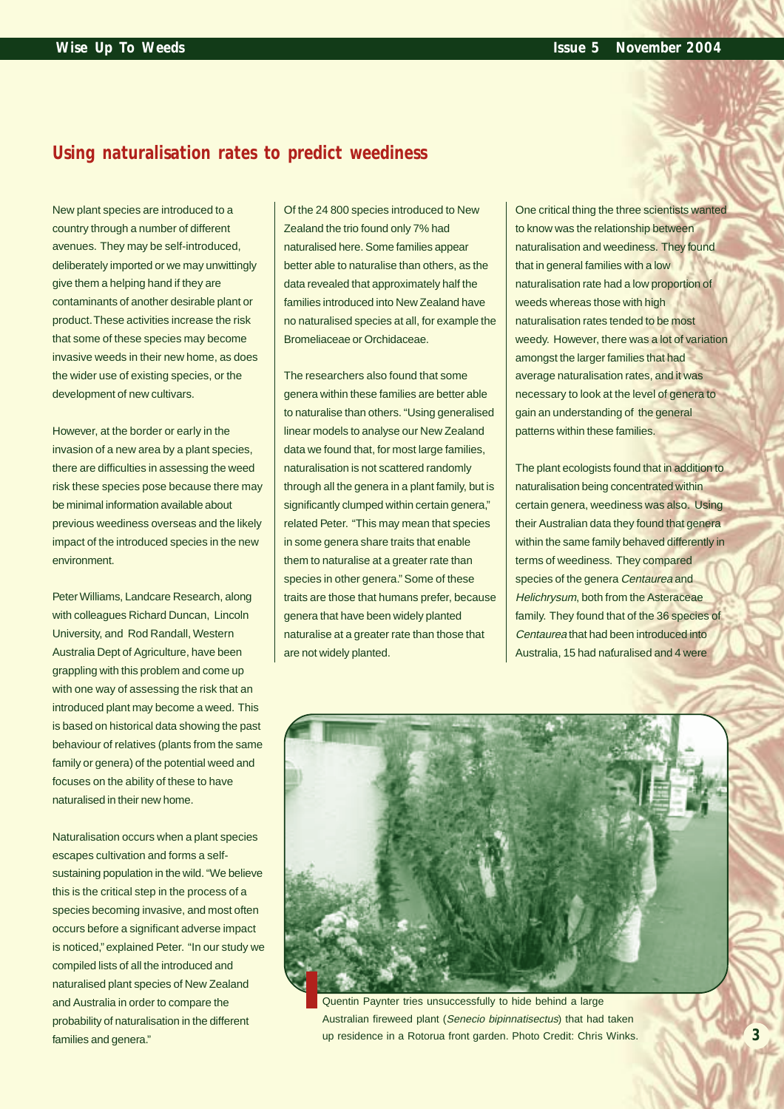## **Using naturalisation rates to predict weediness**

New plant species are introduced to a country through a number of different avenues. They may be self-introduced, deliberately imported or we may unwittingly give them a helping hand if they are contaminants of another desirable plant or product. These activities increase the risk that some of these species may become invasive weeds in their new home, as does the wider use of existing species, or the development of new cultivars.

However, at the border or early in the invasion of a new area by a plant species, there are difficulties in assessing the weed risk these species pose because there may be minimal information available about previous weediness overseas and the likely impact of the introduced species in the new environment.

Peter Williams, Landcare Research, along with colleagues Richard Duncan, Lincoln University, and Rod Randall, Western Australia Dept of Agriculture, have been grappling with this problem and come up with one way of assessing the risk that an introduced plant may become a weed. This is based on historical data showing the past behaviour of relatives (plants from the same family or genera) of the potential weed and focuses on the ability of these to have naturalised in their new home.

Naturalisation occurs when a plant species escapes cultivation and forms a selfsustaining population in the wild. "We believe this is the critical step in the process of a species becoming invasive, and most often occurs before a significant adverse impact is noticed," explained Peter. "In our study we compiled lists of all the introduced and naturalised plant species of New Zealand and Australia in order to compare the probability of naturalisation in the different families and genera."

Of the 24 800 species introduced to New Zealand the trio found only 7% had naturalised here. Some families appear better able to naturalise than others, as the data revealed that approximately half the families introduced into New Zealand have no naturalised species at all, for example the Bromeliaceae or Orchidaceae.

The researchers also found that some genera within these families are better able to naturalise than others. "Using generalised linear models to analyse our New Zealand data we found that, for most large families, naturalisation is not scattered randomly through all the genera in a plant family, but is significantly clumped within certain genera," related Peter. "This may mean that species in some genera share traits that enable them to naturalise at a greater rate than species in other genera." Some of these traits are those that humans prefer, because genera that have been widely planted naturalise at a greater rate than those that are not widely planted.

One critical thing the three scientists wanted to know was the relationship between naturalisation and weediness. They found that in general families with a low naturalisation rate had a low proportion of weeds whereas those with high naturalisation rates tended to be most weedy. However, there was a lot of variation amongst the larger families that had average naturalisation rates, and it was necessary to look at the level of genera to gain an understanding of the general patterns within these families.

The plant ecologists found that in addition to naturalisation being concentrated within certain genera, weediness was also. Using their Australian data they found that genera within the same family behaved differently in terms of weediness. They compared species of the genera Centaurea and Helichrysum, both from the Asteraceae family. They found that of the 36 species of Centaurea that had been introduced into Australia, 15 had nafuralised and 4 were



Quentin Paynter tries unsuccessfully to hide behind a large Australian fireweed plant (Senecio bipinnatisectus) that had taken up residence in a Rotorua front garden. Photo Credit: Chris Winks.